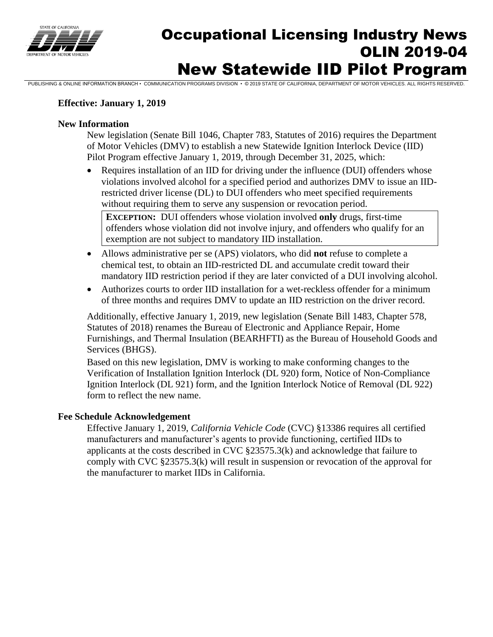

# Occupational Licensing Industry News OLIN 2019-04 New Statewide IID Pilot Program

PUBLISHING & ONLINE INFORMATION BRANCH • COMMUNICATION PROGRAMS DIVISION • © 2019 STATE OF CALIFORNIA, DEPARTMENT OF MOTOR VEHICLES. ALL RIGHTS RESERVED.

# **Effective: January 1, 2019**

#### **New Information**

New legislation (Senate Bill 1046, Chapter 783, Statutes of 2016) requires the Department of Motor Vehicles (DMV) to establish a new Statewide Ignition Interlock Device (IID) Pilot Program effective January 1, 2019, through December 31, 2025, which:

• Requires installation of an IID for driving under the influence (DUI) offenders whose violations involved alcohol for a specified period and authorizes DMV to issue an IIDrestricted driver license (DL) to DUI offenders who meet specified requirements without requiring them to serve any suspension or revocation period.

**EXCEPTION:** DUI offenders whose violation involved **only** drugs, first-time offenders whose violation did not involve injury, and offenders who qualify for an exemption are not subject to mandatory IID installation.

- Allows administrative per se (APS) violators, who did **not** refuse to complete a chemical test, to obtain an IID-restricted DL and accumulate credit toward their mandatory IID restriction period if they are later convicted of a DUI involving alcohol.
- Authorizes courts to order IID installation for a wet-reckless offender for a minimum of three months and requires DMV to update an IID restriction on the driver record.

Additionally, effective January 1, 2019, new legislation (Senate Bill 1483, Chapter 578, Statutes of 2018) renames the Bureau of Electronic and Appliance Repair, Home Furnishings, and Thermal Insulation (BEARHFTI) as the Bureau of Household Goods and Services (BHGS).

Based on this new legislation, DMV is working to make conforming changes to the Verification of Installation Ignition Interlock (DL 920) form, Notice of Non-Compliance Ignition Interlock (DL 921) form, and the Ignition Interlock Notice of Removal (DL 922) form to reflect the new name.

### **Fee Schedule Acknowledgement**

Effective January 1, 2019, *California Vehicle Code* (CVC) §13386 requires all certified manufacturers and manufacturer's agents to provide functioning, certified IIDs to applicants at the costs described in CVC §23575.3(k) and acknowledge that failure to comply with CVC §23575.3(k) will result in suspension or revocation of the approval for the manufacturer to market IIDs in California.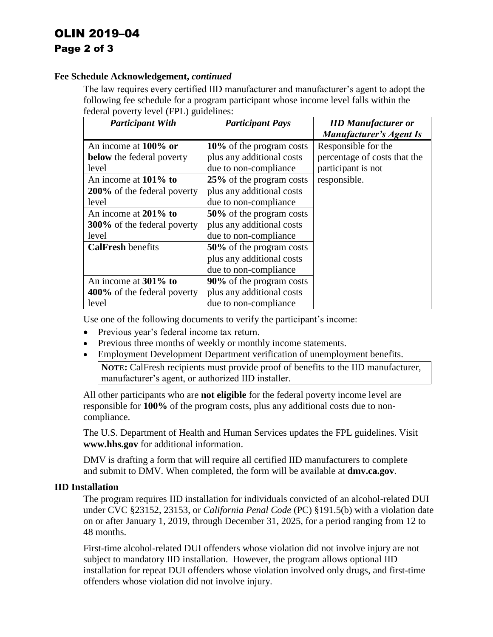# OLIN 2019–04 Page 2 of 3

## **Fee Schedule Acknowledgement,** *continued*

The law requires every certified IID manufacturer and manufacturer's agent to adopt the following fee schedule for a program participant whose income level falls within the federal poverty level (FPL) guidelines:

| <b>Participant With</b>            | <b>Participant Pays</b>   | <b>IID Manufacturer or</b>   |
|------------------------------------|---------------------------|------------------------------|
|                                    |                           | Manufacturer's Agent Is      |
| An income at $100\%$ or            | 10% of the program costs  | Responsible for the          |
| <b>below</b> the federal poverty   | plus any additional costs | percentage of costs that the |
| level                              | due to non-compliance     | participant is not           |
| An income at $101\%$ to            | 25% of the program costs  | responsible.                 |
| <b>200%</b> of the federal poverty | plus any additional costs |                              |
| level                              | due to non-compliance     |                              |
| An income at 201% to               | 50% of the program costs  |                              |
| <b>300%</b> of the federal poverty | plus any additional costs |                              |
| level                              | due to non-compliance     |                              |
| <b>CalFresh benefits</b>           | 50% of the program costs  |                              |
|                                    | plus any additional costs |                              |
|                                    | due to non-compliance     |                              |
| An income at 301% to               | 90% of the program costs  |                              |
| 400% of the federal poverty        | plus any additional costs |                              |
| level                              | due to non-compliance     |                              |

Use one of the following documents to verify the participant's income:

- Previous year's federal income tax return.
- Previous three months of weekly or monthly income statements.
- Employment Development Department verification of unemployment benefits. **NOTE:** CalFresh recipients must provide proof of benefits to the IID manufacturer,

manufacturer's agent, or authorized IID installer.

All other participants who are **not eligible** for the federal poverty income level are responsible for **100%** of the program costs, plus any additional costs due to noncompliance.

The U.S. Department of Health and Human Services updates the FPL guidelines. Visit **[www.hhs.gov](http://www.hhs.gov/)** for additional information.

DMV is drafting a form that will require all certified IID manufacturers to complete and submit to DMV. When completed, the form will be available at **[dmv.ca.gov](http://www.dmv.ca.gov/)**.

# **IID Installation**

The program requires IID installation for individuals convicted of an alcohol-related DUI under CVC §23152, 23153, or *California Penal Code* (PC) §191.5(b) with a violation date on or after January 1, 2019, through December 31, 2025, for a period ranging from 12 to 48 months.

First-time alcohol-related DUI offenders whose violation did not involve injury are not subject to mandatory IID installation. However, the program allows optional IID installation for repeat DUI offenders whose violation involved only drugs, and first-time offenders whose violation did not involve injury.